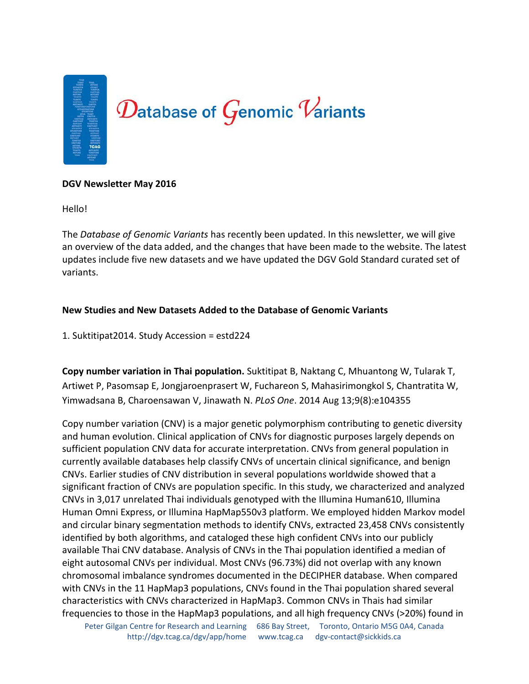

### **DGV Newsletter May 2016**

Hello!

The *Database of Genomic Variants* has recently been updated. In this newsletter, we will give an overview of the data added, and the changes that have been made to the website. The latest updates include five new datasets and we have updated the DGV Gold Standard curated set of variants.

## **New Studies and New Datasets Added to the Database of Genomic Variants**

1. Suktitipat2014. Study Accession = estd224

**Copy number variation in Thai population.** Suktitipat B, Naktang C, Mhuantong W, Tularak T, Artiwet P, Pasomsap E, Jongjaroenprasert W, Fuchareon S, Mahasirimongkol S, Chantratita W, Yimwadsana B, Charoensawan V, Jinawath N. *PLoS One*. 2014 Aug 13;9(8):e104355

Copy number variation (CNV) is a major genetic polymorphism contributing to genetic diversity and human evolution. Clinical application of CNVs for diagnostic purposes largely depends on sufficient population CNV data for accurate interpretation. CNVs from general population in currently available databases help classify CNVs of uncertain clinical significance, and benign CNVs. Earlier studies of CNV distribution in several populations worldwide showed that a significant fraction of CNVs are population specific. In this study, we characterized and analyzed CNVs in 3,017 unrelated Thai individuals genotyped with the Illumina Human610, Illumina Human Omni Express, or Illumina HapMap550v3 platform. We employed hidden Markov model and circular binary segmentation methods to identify CNVs, extracted 23,458 CNVs consistently identified by both algorithms, and cataloged these high confident CNVs into our publicly available Thai CNV database. Analysis of CNVs in the Thai population identified a median of eight autosomal CNVs per individual. Most CNVs (96.73%) did not overlap with any known chromosomal imbalance syndromes documented in the DECIPHER database. When compared with CNVs in the 11 HapMap3 populations, CNVs found in the Thai population shared several characteristics with CNVs characterized in HapMap3. Common CNVs in Thais had similar frequencies to those in the HapMap3 populations, and all high frequency CNVs (>20%) found in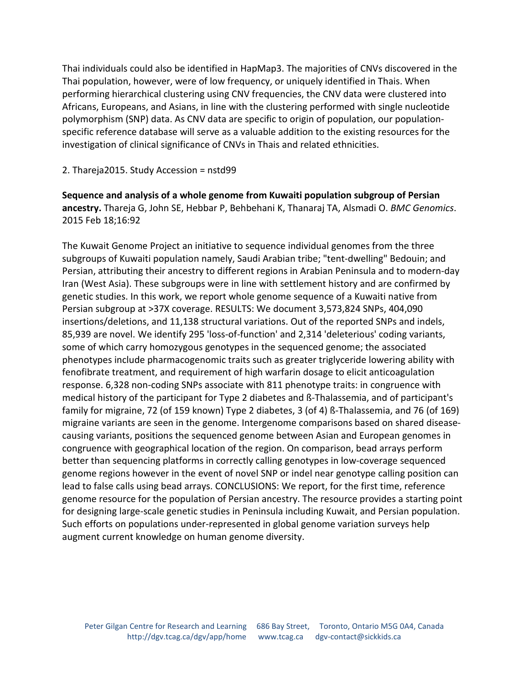Thai individuals could also be identified in HapMap3. The majorities of CNVs discovered in the Thai population, however, were of low frequency, or uniquely identified in Thais. When performing hierarchical clustering using CNV frequencies, the CNV data were clustered into Africans, Europeans, and Asians, in line with the clustering performed with single nucleotide polymorphism (SNP) data. As CNV data are specific to origin of population, our populationspecific reference database will serve as a valuable addition to the existing resources for the investigation of clinical significance of CNVs in Thais and related ethnicities.

2. Thareja2015. Study Accession = nstd99

**Sequence and analysis of a whole genome from Kuwaiti population subgroup of Persian ancestry.** Thareja G, John SE, Hebbar P, Behbehani K, Thanaraj TA, Alsmadi O. *BMC Genomics*. 2015 Feb 18;16:92

The Kuwait Genome Project an initiative to sequence individual genomes from the three subgroups of Kuwaiti population namely, Saudi Arabian tribe; "tent-dwelling" Bedouin; and Persian, attributing their ancestry to different regions in Arabian Peninsula and to modern-day Iran (West Asia). These subgroups were in line with settlement history and are confirmed by genetic studies. In this work, we report whole genome sequence of a Kuwaiti native from Persian subgroup at >37X coverage. RESULTS: We document 3,573,824 SNPs, 404,090 insertions/deletions, and 11,138 structural variations. Out of the reported SNPs and indels, 85,939 are novel. We identify 295 'loss-of-function' and 2,314 'deleterious' coding variants, some of which carry homozygous genotypes in the sequenced genome; the associated phenotypes include pharmacogenomic traits such as greater triglyceride lowering ability with fenofibrate treatment, and requirement of high warfarin dosage to elicit anticoagulation response. 6,328 non-coding SNPs associate with 811 phenotype traits: in congruence with medical history of the participant for Type 2 diabetes and ß-Thalassemia, and of participant's family for migraine, 72 (of 159 known) Type 2 diabetes, 3 (of 4) ß-Thalassemia, and 76 (of 169) migraine variants are seen in the genome. Intergenome comparisons based on shared diseasecausing variants, positions the sequenced genome between Asian and European genomes in congruence with geographical location of the region. On comparison, bead arrays perform better than sequencing platforms in correctly calling genotypes in low-coverage sequenced genome regions however in the event of novel SNP or indel near genotype calling position can lead to false calls using bead arrays. CONCLUSIONS: We report, for the first time, reference genome resource for the population of Persian ancestry. The resource provides a starting point for designing large-scale genetic studies in Peninsula including Kuwait, and Persian population. Such efforts on populations under-represented in global genome variation surveys help augment current knowledge on human genome diversity.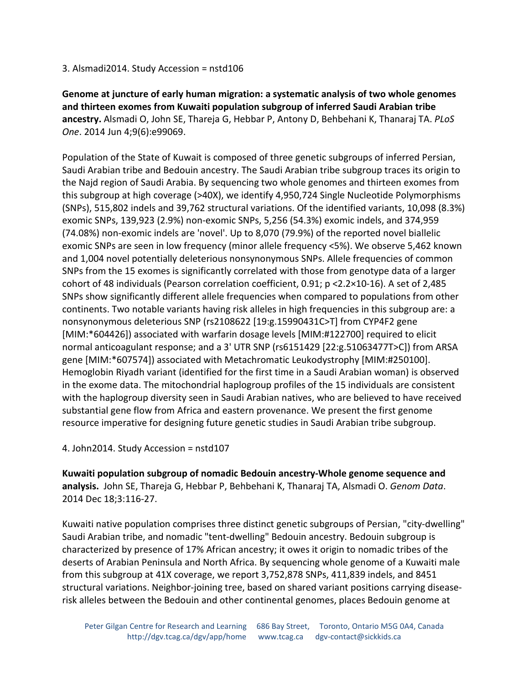## 3. Alsmadi2014. Study Accession = nstd106

**Genome at juncture of early human migration: a systematic analysis of two whole genomes and thirteen exomes from Kuwaiti population subgroup of inferred Saudi Arabian tribe ancestry.** Alsmadi O, John SE, Thareja G, Hebbar P, Antony D, Behbehani K, Thanaraj TA. *PLoS One*. 2014 Jun 4;9(6):e99069.

Population of the State of Kuwait is composed of three genetic subgroups of inferred Persian, Saudi Arabian tribe and Bedouin ancestry. The Saudi Arabian tribe subgroup traces its origin to the Najd region of Saudi Arabia. By sequencing two whole genomes and thirteen exomes from this subgroup at high coverage (>40X), we identify 4,950,724 Single Nucleotide Polymorphisms (SNPs), 515,802 indels and 39,762 structural variations. Of the identified variants, 10,098 (8.3%) exomic SNPs, 139,923 (2.9%) non-exomic SNPs, 5,256 (54.3%) exomic indels, and 374,959 (74.08%) non-exomic indels are 'novel'. Up to 8,070 (79.9%) of the reported novel biallelic exomic SNPs are seen in low frequency (minor allele frequency <5%). We observe 5,462 known and 1,004 novel potentially deleterious nonsynonymous SNPs. Allele frequencies of common SNPs from the 15 exomes is significantly correlated with those from genotype data of a larger cohort of 48 individuals (Pearson correlation coefficient, 0.91; p <2.2×10-16). A set of 2,485 SNPs show significantly different allele frequencies when compared to populations from other continents. Two notable variants having risk alleles in high frequencies in this subgroup are: a nonsynonymous deleterious SNP (rs2108622 [19:g.15990431C>T] from CYP4F2 gene [MIM:\*604426]) associated with warfarin dosage levels [MIM:#122700] required to elicit normal anticoagulant response; and a 3' UTR SNP (rs6151429 [22:g.51063477T>C]) from ARSA gene [MIM:\*607574]) associated with Metachromatic Leukodystrophy [MIM:#250100]. Hemoglobin Riyadh variant (identified for the first time in a Saudi Arabian woman) is observed in the exome data. The mitochondrial haplogroup profiles of the 15 individuals are consistent with the haplogroup diversity seen in Saudi Arabian natives, who are believed to have received substantial gene flow from Africa and eastern provenance. We present the first genome resource imperative for designing future genetic studies in Saudi Arabian tribe subgroup.

# 4. John2014. Study Accession = nstd107

**Kuwaiti population subgroup of nomadic Bedouin ancestry-Whole genome sequence and analysis.** John SE, Thareja G, Hebbar P, Behbehani K, Thanaraj TA, Alsmadi O. *Genom Data*. 2014 Dec 18;3:116-27.

Kuwaiti native population comprises three distinct genetic subgroups of Persian, "city-dwelling" Saudi Arabian tribe, and nomadic "tent-dwelling" Bedouin ancestry. Bedouin subgroup is characterized by presence of 17% African ancestry; it owes it origin to nomadic tribes of the deserts of Arabian Peninsula and North Africa. By sequencing whole genome of a Kuwaiti male from this subgroup at 41X coverage, we report 3,752,878 SNPs, 411,839 indels, and 8451 structural variations. Neighbor-joining tree, based on shared variant positions carrying diseaserisk alleles between the Bedouin and other continental genomes, places Bedouin genome at